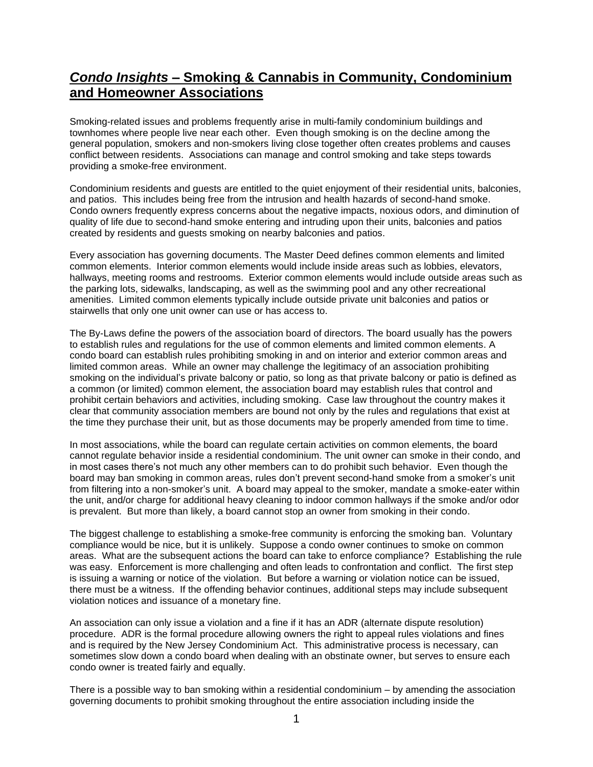## *Condo Insights* **– Smoking & Cannabis in Community, Condominium and Homeowner Associations**

Smoking-related issues and problems frequently arise in multi-family condominium buildings and townhomes where people live near each other. Even though smoking is on the decline among the general population, smokers and non-smokers living close together often creates problems and causes conflict between residents. Associations can manage and control smoking and take steps towards providing a smoke-free environment.

Condominium residents and quests are entitled to the quiet enjoyment of their residential units, balconies, and patios. This includes being free from the intrusion and health hazards of second-hand smoke. Condo owners frequently express concerns about the negative impacts, noxious odors, and diminution of quality of life due to second-hand smoke entering and intruding upon their units, balconies and patios created by residents and guests smoking on nearby balconies and patios.

Every association has governing documents. The Master Deed defines common elements and limited common elements. Interior common elements would include inside areas such as lobbies, elevators, hallways, meeting rooms and restrooms. Exterior common elements would include outside areas such as the parking lots, sidewalks, landscaping, as well as the swimming pool and any other recreational amenities. Limited common elements typically include outside private unit balconies and patios or stairwells that only one unit owner can use or has access to.

The By-Laws define the powers of the association board of directors. The board usually has the powers to establish rules and regulations for the use of common elements and limited common elements. A condo board can establish rules prohibiting smoking in and on interior and exterior common areas and limited common areas. While an owner may challenge the legitimacy of an association prohibiting smoking on the individual's private balcony or patio, so long as that private balcony or patio is defined as a common (or limited) common element, the association board may establish rules that control and prohibit certain behaviors and activities, including smoking. Case law throughout the country makes it clear that community association members are bound not only by the rules and regulations that exist at the time they purchase their unit, but as those documents may be properly amended from time to time.

In most associations, while the board can regulate certain activities on common elements, the board cannot regulate behavior inside a residential condominium. The unit owner can smoke in their condo, and in most cases there's not much any other members can to do prohibit such behavior. Even though the board may ban smoking in common areas, rules don't prevent second-hand smoke from a smoker's unit from filtering into a non-smoker's unit. A board may appeal to the smoker, mandate a smoke-eater within the unit, and/or charge for additional heavy cleaning to indoor common hallways if the smoke and/or odor is prevalent. But more than likely, a board cannot stop an owner from smoking in their condo.

The biggest challenge to establishing a smoke-free community is enforcing the smoking ban. Voluntary compliance would be nice, but it is unlikely. Suppose a condo owner continues to smoke on common areas. What are the subsequent actions the board can take to enforce compliance? Establishing the rule was easy. Enforcement is more challenging and often leads to confrontation and conflict. The first step is issuing a warning or notice of the violation. But before a warning or violation notice can be issued, there must be a witness. If the offending behavior continues, additional steps may include subsequent violation notices and issuance of a monetary fine.

An association can only issue a violation and a fine if it has an ADR (alternate dispute resolution) procedure. ADR is the formal procedure allowing owners the right to appeal rules violations and fines and is required by the New Jersey Condominium Act. This administrative process is necessary, can sometimes slow down a condo board when dealing with an obstinate owner, but serves to ensure each condo owner is treated fairly and equally.

There is a possible way to ban smoking within a residential condominium – by amending the association governing documents to prohibit smoking throughout the entire association including inside the